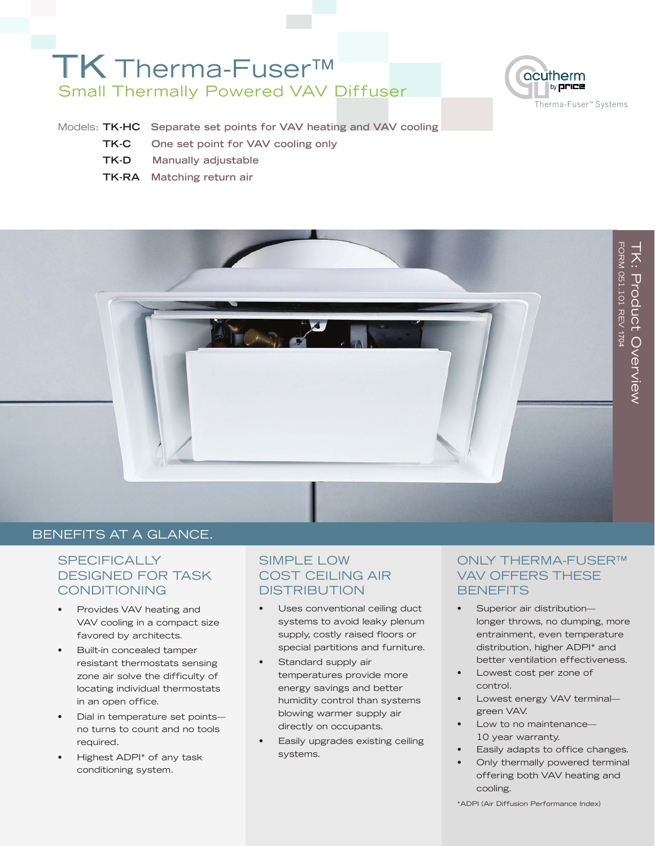# TK Therma-Fuser™ Small Thermally Powered VAV Diffuser



TK: Product Overview

**FK: Product Overview** 

Models: **TK-HC Separate set points for VAV heating and VAV cooling**

- **TK-C One set point for VAV cooling only**
- **TK-D Manually adjustable**
- **TK-RA Matching return air**



# BENEFITS AT A GLANCE.

# **SPECIFICALLY** DESIGNED FOR TASK CONDITIONING

- Provides VAV heating and VAV cooling in a compact size favored by architects.
- Built-in concealed tamper resistant thermostats sensing zone air solve the difficulty of locating individual thermostats in an open office.
- Dial in temperature set points no turns to count and no tools required.
- Highest ADPI\* of any task conditioning system.

# SIMPLE LOW COST CEILING AIR **DISTRIBUTION**

- Uses conventional ceiling duct systems to avoid leaky plenum supply, costly raised floors or special partitions and furniture.
- Standard supply air temperatures provide more energy savings and better humidity control than systems blowing warmer supply air directly on occupants.
- Easily upgrades existing ceiling systems.

# ONLY THERMA-FUSER™ VAV OFFERS THESE **BENEFITS**

- Superior air distributionlonger throws, no dumping, more entrainment, even temperature distribution, higher ADPI\* and better ventilation effectiveness.
- Lowest cost per zone of control.
- Lowest energy VAV terminalgreen VAV.
- Low to no maintenance-10 year warranty.
- Easily adapts to office changes.
- Only thermally powered terminal offering both VAV heating and cooling.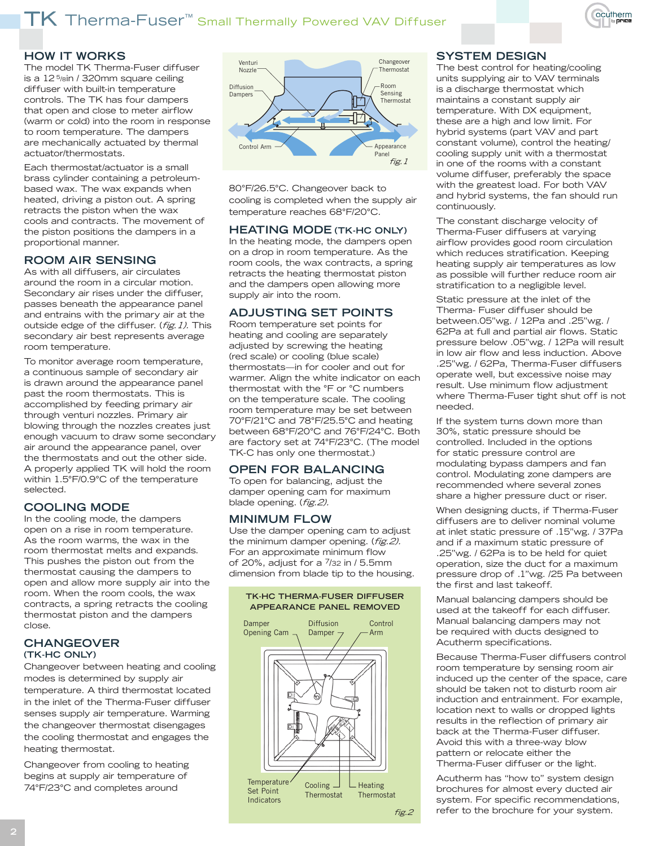

## **HOW IT WORKS**

The model TK Therma-Fuser diffuser is a 12 5/8in / 320mm square ceiling diffuser with built-in temperature controls. The TK has four dampers that open and close to meter airflow (warm or cold) into the room in response to room temperature. The dampers are mechanically actuated by thermal actuator/thermostats.

Each thermostat/actuator is a small brass cylinder containing a petroleumbased wax. The wax expands when heated, driving a piston out. A spring retracts the piston when the wax cools and contracts. The movement of the piston positions the dampers in a proportional manner.

## **ROOM AIR SENSING**

As with all diffusers, air circulates around the room in a circular motion. Secondary air rises under the diffuser, passes beneath the appearance panel and entrains with the primary air at the outside edge of the diffuser. (*fig. 1)*. This secondary air best represents average room temperature.

To monitor average room temperature, a continuous sample of secondary air is drawn around the appearance panel past the room thermostats. This is accomplished by feeding primary air through venturi nozzles. Primary air blowing through the nozzles creates just enough vacuum to draw some secondary air around the appearance panel, over the thermostats and out the other side. A properly applied TK will hold the room within 1.5°F/0.9°C of the temperature selected.

## **COOLING MODE**

In the cooling mode, the dampers open on a rise in room temperature. As the room warms, the wax in the room thermostat melts and expands. This pushes the piston out from the thermostat causing the dampers to open and allow more supply air into the room. When the room cools, the wax contracts, a spring retracts the cooling thermostat piston and the dampers close.

#### **CHANGEOVER (TK-HC ONLY)**

Changeover between heating and cooling modes is determined by supply air temperature. A third thermostat located in the inlet of the Therma-Fuser diffuser senses supply air temperature. Warming the changeover thermostat disengages the cooling thermostat and engages the heating thermostat.

Changeover from cooling to heating begins at supply air temperature of 74°F/23°C and completes around



80°F/26.5°C. Changeover back to cooling is completed when the supply air temperature reaches 68°F/20°C.

#### **HEATING MODE (TK-HC ONLY)**

In the heating mode, the dampers open on a drop in room temperature. As the room cools, the wax contracts, a spring retracts the heating thermostat piston and the dampers open allowing more supply air into the room.

## **ADJUSTING SET POINTS**

Room temperature set points for heating and cooling are separately adjusted by screwing the heating (red scale) or cooling (blue scale) thermostats—in for cooler and out for warmer. Align the white indicator on each thermostat with the °F or °C numbers on the temperature scale. The cooling room temperature may be set between 70°F/21°C and 78°F/25.5°C and heating between 68°F/20°C and 76°F/24°C. Both are factory set at 74°F/23°C. (The model TK-C has only one thermostat.)

## **OPEN FOR BALANCING**

To open for balancing, adjust the damper opening cam for maximum blade opening. (fig.2).

### **MINIMUM FLOW**

Use the damper opening cam to adjust the minimum damper opening. (*fig.2)*. For an approximate minimum flow of 20%, adjust for a 7/32 in / 5.5mm dimension from blade tip to the housing.



### **SYSTEM DESIGN**

The best control for heating/cooling units supplying air to VAV terminals is a discharge thermostat which maintains a constant supply air temperature. With DX equipment, these are a high and low limit. For hybrid systems (part VAV and part constant volume), control the heating/ cooling supply unit with a thermostat in one of the rooms with a constant volume diffuser, preferably the space with the greatest load. For both VAV and hybrid systems, the fan should run continuously.

The constant discharge velocity of Therma-Fuser diffusers at varying airflow provides good room circulation which reduces stratification. Keeping heating supply air temperatures as low as possible will further reduce room air stratification to a negligible level.

Static pressure at the inlet of the Therma- Fuser diffuser should be between.05"wg. / 12Pa and .25"wg. / 62Pa at full and partial air flows. Static pressure below .05"wg. / 12Pa will result in low air flow and less induction. Above .25"wg. / 62Pa, Therma-Fuser diffusers operate well, but excessive noise may result. Use minimum flow adjustment where Therma-Fuser tight shut off is not needed.

If the system turns down more than 30%, static pressure should be controlled. Included in the options for static pressure control are modulating bypass dampers and fan control. Modulating zone dampers are recommended where several zones share a higher pressure duct or riser.

When designing ducts, if Therma-Fuser diffusers are to deliver nominal volume at inlet static pressure of .15"wg. / 37Pa and if a maximum static pressure of .25"wg. / 62Pa is to be held for quiet operation, size the duct for a maximum pressure drop of .1"wg. /25 Pa between the first and last takeoff.

Manual balancing dampers should be used at the takeoff for each diffuser. Manual balancing dampers may not be required with ducts designed to Acutherm specifications.

Because Therma-Fuser diffusers control room temperature by sensing room air induced up the center of the space, care should be taken not to disturb room air induction and entrainment. For example, location next to walls or dropped lights results in the reflection of primary air back at the Therma-Fuser diffuser. Avoid this with a three-way blow pattern or relocate either the Therma-Fuser diffuser or the light.

Acutherm has "how to" system design brochures for almost every ducted air system. For specific recommendations, refer to the brochure for your system.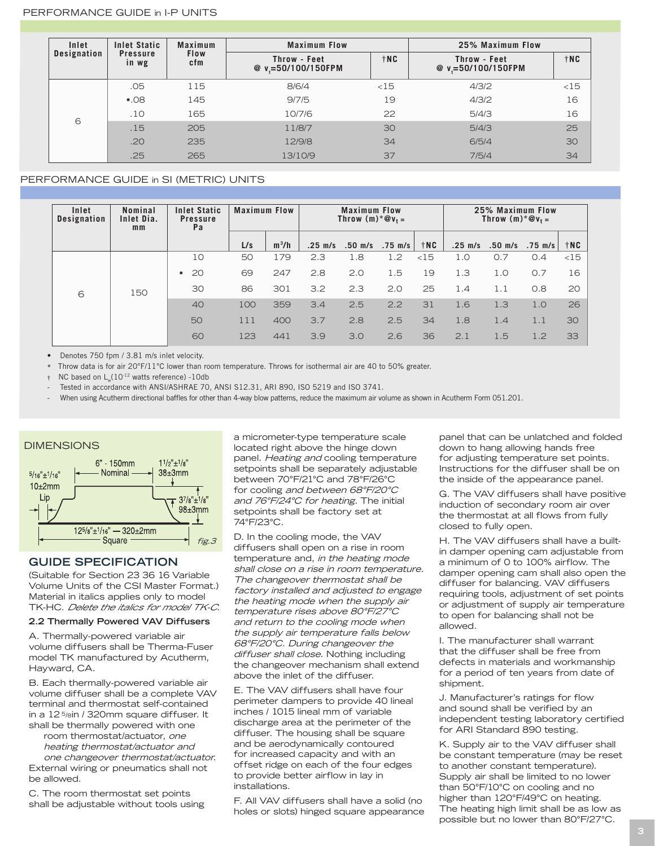| Inlet<br><b>Designation</b> | <b>Inlet Static</b><br><b>Pressure</b><br>in wg | <b>Maximum</b><br><b>Flow</b><br>cfm | <b>Maximum Flow</b>                    |             | 25% Maximum Flow                       |             |  |
|-----------------------------|-------------------------------------------------|--------------------------------------|----------------------------------------|-------------|----------------------------------------|-------------|--|
|                             |                                                 |                                      | Throw - Feet<br>$Q_V = 50/100/150$ FPM | † <b>NC</b> | Throw - Feet<br>$Q_V = 50/100/150$ FPM | † <b>NC</b> |  |
|                             | .05                                             | 115                                  | 8/6/4                                  | <15         | 4/3/2                                  | <15         |  |
|                             | •.08                                            | 145                                  | 9/7/5                                  | 19          | 4/3/2                                  | 16          |  |
|                             | .10                                             | 165                                  | 10/7/6                                 | 22          | 5/4/3                                  | 16          |  |
| 6                           | .15                                             | 205                                  | 11/8/7                                 | 30          | 5/4/3                                  | 25          |  |
|                             | .20                                             | 235                                  | 12/9/8                                 | 34          | 6/5/4                                  | 30          |  |
|                             | .25                                             | 265                                  | 13/10/9                                | 37          | 7/5/4                                  | 34          |  |

#### PERFORMANCE GUIDE in SI (METRIC) UNITS

| Inlet<br>Designation | <b>Nominal</b><br>Inlet Dia.<br>mm | <b>Inlet Static</b><br><b>Pressure</b><br>Pa | <b>Maximum Flow</b> |         | <b>Maximum Flow</b><br>Throw $(m)*@v_t =$ |                     |                   | 25% Maximum Flow<br>Throw $(m)*@v_t =$ |                   |                     |                   |        |
|----------------------|------------------------------------|----------------------------------------------|---------------------|---------|-------------------------------------------|---------------------|-------------------|----------------------------------------|-------------------|---------------------|-------------------|--------|
|                      |                                    |                                              | L/s                 | $m^3/h$ | $.25 \text{ m/s}$                         | $.50 \, \text{m/s}$ | $.75 \text{ m/s}$ | $\dagger$ NC                           | $.25 \text{ m/s}$ | $.50 \, \text{m/s}$ | $.75 \text{ m/s}$ | †NC    |
| 6                    | 150                                | 10                                           | 50                  | 179     | 2.3                                       | 1.8                 | 1.2               | <15                                    | 1.0               | O.7                 | O.4               | $<$ 15 |
|                      |                                    | -20<br>$\bullet$                             | 69                  | 247     | 2.8                                       | 2.0                 | 1.5               | 19                                     | 1.3               | 1.0                 | O.7               | 16     |
|                      |                                    | 30                                           | 86                  | 301     | 3.2                                       | 2.3                 | 2.0               | 25                                     | 1.4               | 1.1                 | 0.8               | 20     |
|                      |                                    | 40                                           | 100                 | 359     | 3.4                                       | 2.5                 | 2.2               | 31                                     | 1.6               | 1.3                 | 1.0               | 26     |
|                      |                                    | 50                                           | 111                 | 400     | 3.7                                       | 2.8                 | 2.5               | 34                                     | 1.8               | 1.4                 | 1.1               | 30     |
|                      |                                    | 60                                           | 123                 | 441     | 3.9                                       | 3.0                 | 2.6               | 36                                     | 2.1               | 1.5                 | 1.2               | 33     |

• Denotes 750 fpm / 3.81 m/s inlet velocity.

**\*** Throw data is for air 20°F/11°C lower than room temperature. Throws for isothermal air are 40 to 50% greater.

NC based on L<sub>w</sub>(10<sup>-12</sup> watts reference) -10db

Tested in accordance with ANSI/ASHRAE 70, ANSI S12.31, ARI 890, ISO 5219 and ISO 3741.

- When using Acutherm directional baffles for other than 4-way blow patterns, reduce the maximum air volume as shown in Acutherm Form 051.201.



### **GUIDE SPECIFICATION**

(Suitable for Section 23 36 16 Variable Volume Units of the CSI Master Format.) Material in italics applies only to model TK-HC. Delete the italics for model TK-C.

#### **2.2 Thermally Powered VAV Diffusers**

A. Thermally-powered variable air volume diffusers shall be Therma-Fuser model TK manufactured by Acutherm, Hayward, CA.

B. Each thermally-powered variable air volume diffuser shall be a complete VAV terminal and thermostat self-contained in a 12 5/8in / 320mm square diffuser. It shall be thermally powered with one

 room thermostat/actuator, one heating thermostat/actuator and one changeover thermostat/actuator. External wiring or pneumatics shall not

be allowed. C. The room thermostat set points shall be adjustable without tools using a micrometer-type temperature scale located right above the hinge down panel. Heating and cooling temperature setpoints shall be separately adjustable between 70°F/21°C and 78°F/26°C for cooling and between 68°F/20°C and 76°F/24°C for heating. The initial setpoints shall be factory set at 74°F/23°C.

D. In the cooling mode, the VAV diffusers shall open on a rise in room temperature and, in the heating mode shall close on a rise in room temperature. The changeover thermostat shall be factory installed and adjusted to engage the heating mode when the supply air temperature rises above 80°F/27°C and return to the cooling mode when the supply air temperature falls below 68°F/20°C. During changeover the diffuser shall close. Nothing including the changeover mechanism shall extend above the inlet of the diffuser

E. The VAV diffusers shall have four perimeter dampers to provide 40 lineal inches / 1015 lineal mm of variable discharge area at the perimeter of the diffuser. The housing shall be square and be aerodynamically contoured for increased capacity and with an offset ridge on each of the four edges to provide better airflow in lay in installations.

F. All VAV diffusers shall have a solid (no holes or slots) hinged square appearance panel that can be unlatched and folded down to hang allowing hands free for adjusting temperature set points. Instructions for the diffuser shall be on the inside of the appearance panel.

G. The VAV diffusers shall have positive induction of secondary room air over the thermostat at all flows from fully closed to fully open.

H. The VAV diffusers shall have a builtin damper opening cam adjustable from a minimum of 0 to 100% airflow. The damper opening cam shall also open the diffuser for balancing. VAV diffusers requiring tools, adjustment of set points or adjustment of supply air temperature to open for balancing shall not be allowed.

I. The manufacturer shall warrant that the diffuser shall be free from defects in materials and workmanship for a period of ten years from date of shipment.

J. Manufacturer's ratings for flow and sound shall be verified by an independent testing laboratory certified for ARI Standard 890 testing.

K. Supply air to the VAV diffuser shall be constant temperature (may be reset to another constant temperature). Supply air shall be limited to no lower than 50°F/10°C on cooling and no higher than 120°F/49°C on heating. The heating high limit shall be as low as possible but no lower than 80°F/27°C.